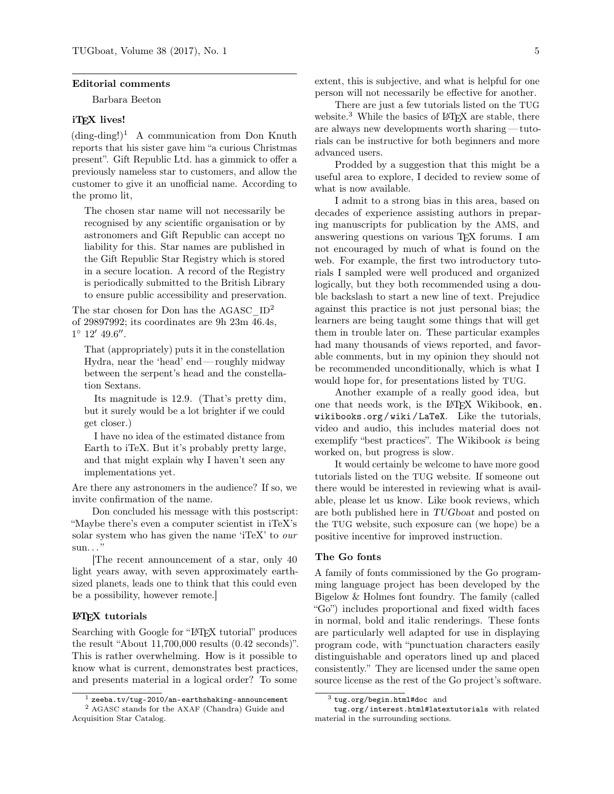#### Editorial comments

Barbara Beeton

# iT<sub>F</sub>X lives!

 $(\text{ding-ding!})^1$  $(\text{ding-ding!})^1$  A communication from Don Knuth reports that his sister gave him "a curious Christmas present". Gift Republic Ltd. has a gimmick to offer a previously nameless star to customers, and allow the customer to give it an unofficial name. According to the promo lit,

The chosen star name will not necessarily be recognised by any scientific organisation or by astronomers and Gift Republic can accept no liability for this. Star names are published in the Gift Republic Star Registry which is stored in a secure location. A record of the Registry is periodically submitted to the British Library to ensure public accessibility and preservation.

The star chosen for Don has the AGASC  $ID^2$  $ID^2$ of 29897992; its coordinates are 9h 23m 46.4s,  $1^{\circ}$   $12'$   $49.6''$ .

That (appropriately) puts it in the constellation Hydra, near the 'head' end — roughly midway between the serpent's head and the constellation Sextans.

Its magnitude is 12.9. (That's pretty dim, but it surely would be a lot brighter if we could get closer.)

I have no idea of the estimated distance from Earth to iTeX. But it's probably pretty large, and that might explain why I haven't seen any implementations yet.

Are there any astronomers in the audience? If so, we invite confirmation of the name.

Don concluded his message with this postscript: "Maybe there's even a computer scientist in iTeX's solar system who has given the name 'iTeX' to our  $sum.$ ..."

[The recent announcement of a star, only 40 light years away, with seven approximately earthsized planets, leads one to think that this could even be a possibility, however remote.]

## L<sup>AT</sup>EX tutorials

Searching with Google for "LAT<sub>EX</sub> tutorial" produces the result "About 11,700,000 results (0.42 seconds)". This is rather overwhelming. How is it possible to know what is current, demonstrates best practices, and presents material in a logical order? To some

extent, this is subjective, and what is helpful for one person will not necessarily be effective for another.

There are just a few tutorials listed on the TUG website.<sup>[3](#page-0-2)</sup> While the basics of LAT<sub>EX</sub> are stable, there are always new developments worth sharing — tutorials can be instructive for both beginners and more advanced users.

Prodded by a suggestion that this might be a useful area to explore, I decided to review some of what is now available.

I admit to a strong bias in this area, based on decades of experience assisting authors in preparing manuscripts for publication by the AMS, and answering questions on various TEX forums. I am not encouraged by much of what is found on the web. For example, the first two introductory tutorials I sampled were well produced and organized logically, but they both recommended using a double backslash to start a new line of text. Prejudice against this practice is not just personal bias; the learners are being taught some things that will get them in trouble later on. These particular examples had many thousands of views reported, and favorable comments, but in my opinion they should not be recommended unconditionally, which is what I would hope for, for presentations listed by TUG.

Another example of a really good idea, but one that needs work, is the LAT<sub>EX</sub> Wikibook, [en.](https://en.wikibooks.org/wiki/LaTeX) [wikibooks.org / wiki / LaTeX](https://en.wikibooks.org/wiki/LaTeX). Like the tutorials, video and audio, this includes material does not exemplify "best practices". The Wikibook is being worked on, but progress is slow.

It would certainly be welcome to have more good tutorials listed on the TUG website. If someone out there would be interested in reviewing what is available, please let us know. Like book reviews, which are both published here in TUGboat and posted on the TUG website, such exposure can (we hope) be a positive incentive for improved instruction.

## The Go fonts

A family of fonts commissioned by the Go programming language project has been developed by the Bigelow & Holmes font foundry. The family (called "Go") includes proportional and fixed width faces in normal, bold and italic renderings. These fonts are particularly well adapted for use in displaying program code, with "punctuation characters easily distinguishable and operators lined up and placed consistently." They are licensed under the same open source license as the rest of the Go project's software.

<span id="page-0-1"></span><span id="page-0-0"></span> $1$  [zeeba.tv/tug-2010/an-earthshaking-announcement](http://zeeba.tv/tug-2010/an-earthshaking-announcement)

<sup>2</sup> AGASC stands for the AXAF (Chandra) Guide and Acquisition Star Catalog.

<span id="page-0-2"></span><sup>3</sup> [tug.org/begin.html#doc](http://tug.org/begin.html#doc) and

[tug.org / interest.html#latextutorials](http://tug.org/interest.html#latextutorials) with related material in the surrounding sections.